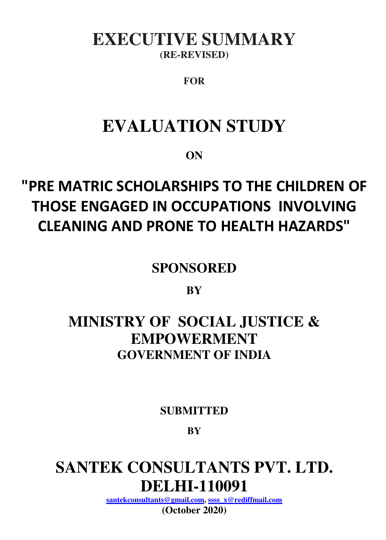## **EXECUTIVE SUMMARY (RE-REVISED)**

### **FOR**

## **EVALUATION STUDY**

**ON**

# **"PRE MATRIC SCHOLARSHIPS TO THE CHILDREN OF THOSE ENGAGED IN OCCUPATIONS INVOLVING CLEANING AND PRONE TO HEALTH HAZARDS"**

**SPONSORED** 

**BY**

## **MINISTRY OF SOCIAL JUSTICE & EMPOWERMENT GOVERNMENT OF INDIA**

**SUBMITTED** 

**BY**

# **SANTEK CONSULTANTS PVT. LTD. DELHI-110091**

**[santekconsultants@gmail.com,](mailto:santekconsultants@gmail.com) [ssss\\_x@rediffmail.com](mailto:ssss_x@rediffmail.com)**

**(October 2020)**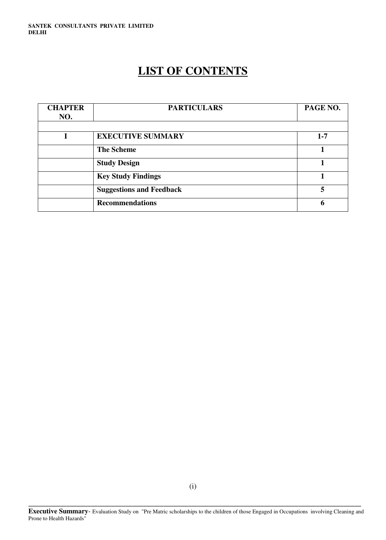### **LIST OF CONTENTS**

| <b>CHAPTER</b> | <b>PARTICULARS</b>              | PAGE NO. |
|----------------|---------------------------------|----------|
| NO.            |                                 |          |
|                |                                 |          |
|                | <b>EXECUTIVE SUMMARY</b>        | $1 - 7$  |
|                | <b>The Scheme</b>               |          |
|                | <b>Study Design</b>             |          |
|                | <b>Key Study Findings</b>       |          |
|                | <b>Suggestions and Feedback</b> | 5        |
|                | <b>Recommendations</b>          | 6        |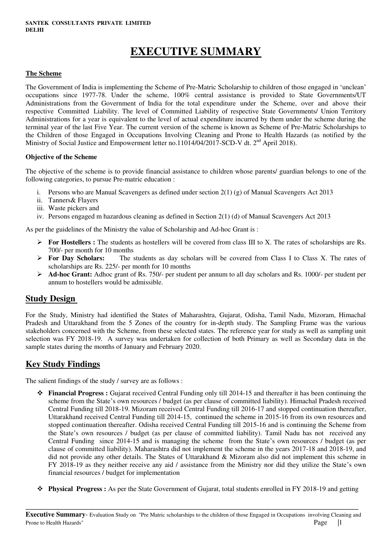### **EXECUTIVE SUMMARY**

#### **The Scheme**

The Government of India is implementing the Scheme of Pre-Matric Scholarship to children of those engaged in 'unclean' occupations since 1977-78. Under the scheme, 100% central assistance is provided to State Governments/UT Administrations from the Government of India for the total expenditure under the Scheme, over and above their respective Committed Liability. The level of Committed Liability of respective State Governments/ Union Territory Administrations for a year is equivalent to the level of actual expenditure incurred by them under the scheme during the terminal year of the last Five Year. The current version of the scheme is known as Scheme of Pre-Matric Scholarships to the Children of those Engaged in Occupations Involving Cleaning and Prone to Health Hazards (as notified by the Ministry of Social Justice and Empowerment letter no.11014/04/2017-SCD-V dt. 2<sup>nd</sup> April 2018).

#### **Objective of the Scheme**

The objective of the scheme is to provide financial assistance to children whose parents/ guardian belongs to one of the following categories, to pursue Pre-matric education :

- i. Persons who are Manual Scavengers as defined under section  $2(1)$  (g) of Manual Scavengers Act 2013
- ii. Tanners& Flayers
- iii. Waste pickers and
- iv. Persons engaged m hazardous cleaning as defined in Section 2(1) (d) of Manual Scavengers Act 2013

As per the guidelines of the Ministry the value of Scholarship and Ad-hoc Grant is :

- **For Hostellers :** The students as hostellers will be covered from class III to X. The rates of scholarships are Rs. 700/- per month for 10 months
- **For Day Scholars:** The students as day scholars will be covered from Class I to Class X. The rates of scholarships are Rs. 225/- per month for 10 months
- **Ad-hoc Grant:** Adhoc grant of Rs. 750/- per student per annum to all day scholars and Rs. 1000/- per student per annum to hostellers would be admissible.

#### **Study Design**

For the Study, Ministry had identified the States of Maharashtra, Gujarat, Odisha, Tamil Nadu, Mizoram, Himachal Pradesh and Uttarakhand from the 5 Zones of the country for in-depth study. The Sampling Frame was the various stakeholders concerned with the Scheme, from these selected states. The reference year for study as well as sampling unit selection was FY 2018-19. A survey was undertaken for collection of both Primary as well as Secondary data in the sample states during the months of January and February 2020.

#### **Key Study Findings**

The salient findings of the study / survey are as follows :

- **Financial Progress :** Gujarat received Central Funding only till 2014-15 and thereafter it has been continuing the scheme from the State's own resources / budget (as per clause of committed liability). Himachal Pradesh received Central Funding till 2018-19. Mizoram received Central Funding till 2016-17 and stopped continuation thereafter, Uttarakhand received Central Funding till 2014-15, continued the scheme in 2015-16 from its own resources and stopped continuation thereafter. Odisha received Central Funding till 2015-16 and is continuing the Scheme from the State's own resources / budget (as per clause of committed liability). Tamil Nadu has not received any Central Funding since 2014-15 and is managing the scheme from the State's own resources / budget (as per clause of committed liability). Maharashtra did not implement the scheme in the years 2017-18 and 2018-19, and did not provide any other details. The States of Uttarakhand & Mizoram also did not implement this scheme in FY 2018-19 as they neither receive any aid / assistance from the Ministry nor did they utilize the State's own financial resources / budget for implementation
- **Physical Progress :** As per the State Government of Gujarat, total students enrolled in FY 2018-19 and getting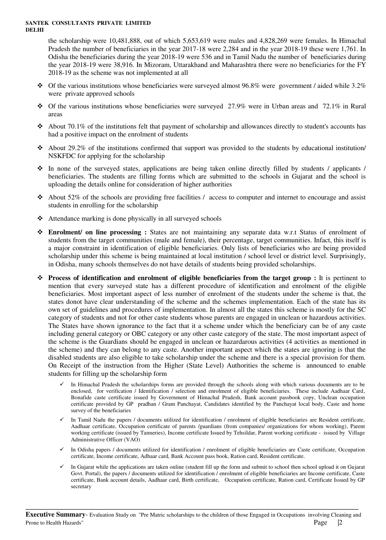the scholarship were 10,481,888, out of which 5,653,619 were males and 4,828,269 were females. In Himachal Pradesh the number of beneficiaries in the year 2017-18 were 2,284 and in the year 2018-19 these were 1,761. In Odisha the beneficiaries during the year 2018-19 were 536 and in Tamil Nadu the number of beneficiaries during the year 2018-19 were 38,916. In Mizoram, Uttarakhand and Maharashtra there were no beneficiaries for the FY 2018-19 as the scheme was not implemented at all

- $\bullet$  Of the various institutions whose beneficiaries were surveyed almost 96.8% were government / aided while 3.2% were private approved schools
- $\div$  Of the various institutions whose beneficiaries were surveyed 27.9% were in Urban areas and 72.1% in Rural areas
- $\triangleleft$  About 70.1% of the institutions felt that payment of scholarship and allowances directly to student's accounts has had a positive impact on the enrolment of students
- About 29.2% of the institutions confirmed that support was provided to the students by educational institution NSKFDC for applying for the scholarship
- $\hat{\cdot}$  In none of the surveyed states, applications are being taken online directly filled by students / applicants / beneficiaries. The students are filling forms which are submitted to the schools in Gujarat and the school is uploading the details online for consideration of higher authorities
- $\triangle$  About 52% of the schools are providing free facilities / access to computer and internet to encourage and assist students in enrolling for the scholarship
- $\triangleleft$  Attendance marking is done physically in all surveyed schools
- **Enrolment/ on line processing :** States are not maintaining any separate data w.r.t Status of enrolment of students from the target communities (male and female), their percentage, target communities. Infact, this itself is a major constraint in identification of eligible beneficiaries. Only lists of beneficiaries who are being provided scholarship under this scheme is being maintained at local institution / school level or district level. Surprisingly, in Odisha, many schools themselves do not have details of students being provided scholarships.
- **Process of identification and enrolment of eligible beneficiaries from the target group :** It is pertinent to mention that every surveyed state has a different procedure of identification and enrolment of the eligible beneficiaries. Most important aspect of less number of enrolment of the students under the scheme is that, the states donot have clear understanding of the scheme and the schemes implementation. Each of the state has its own set of guidelines and procedures of implementation. In almost all the states this scheme is mostly for the SC category of students and not for other caste students whose parents are engaged in unclean or hazardous activities. The States have shown ignorance to the fact that it a scheme under which the beneficiary can be of any caste including general category or OBC category or any other caste category of the state. The most important aspect of the scheme is the Guardians should be engaged in unclean or hazardarous activities (4 activities as mentioned in the scheme) and they can belong to any caste. Another important aspect which the states are ignoring is that the disabled students are also eligible to take scholarship under the scheme and there is a special provision for them. On Receipt of the instruction from the Higher (State Level) Authorities the scheme is announced to enable students for filling up the scholarship form
	- In Himachal Pradesh the scholarships forms are provided through the schools along with which various documents are to be enclosed, for verification / Identification / selection and enrolment of eligible beneficiaries. These include Aadhaar Card, Bonafide caste certificate issued by Government of Himachal Pradesh, Bank account passbook copy, Unclean occupation certificate provided by GP pradhan / Gram Panchayat, Candidates identified by the Panchayat local body, Caste and home survey of the beneficiaries
	- $\checkmark$  In Tamil Nadu the papers / documents utilized for identification / enrolment of eligible beneficiaries are Resident certificate, Aadhaar certificate, Occupation certificate of parents /guardians (from companies/ organizations for whom working), Parent working certificate (issued by Tanneries), Income certificate Issued by Tehsildar, Parent working certificate - issued by Village Administrative Officer (VAO)
	- $\checkmark$  In Odisha papers / documents utilized for identification / enrolment of eligible beneficiaries are Caste certificate, Occupation certificate, Income certificate, Adhaar card, Bank Account pass book, Ration card, Resident certificate.
	- In Gujarat while the applications are taken online (student fill up the form and submit to school then school upload it on Gujarat Govt. Portal), the papers / documents utilized for identification / enrolment of eligible beneficiaries are Income certificate, Caste certificate, Bank account details, Aadhaar card, Birth certificate, Occupation certificate, Ration card, Certificate Issued by GP secretary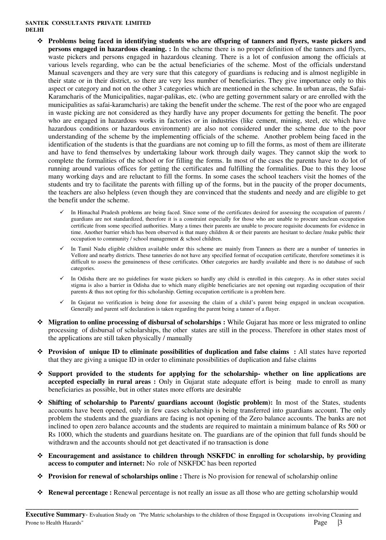- **Problems being faced in identifying students who are offspring of tanners and flyers, waste pickers and persons engaged in hazardous cleaning. :** In the scheme there is no proper definition of the tanners and flyers, waste pickers and persons engaged in hazardous cleaning. There is a lot of confusion among the officials at various levels regarding, who can be the actual beneficiaries of the scheme. Most of the officials understand Manual scavengers and they are very sure that this category of guardians is reducing and is almost negligible in their state or in their district, so there are very less number of beneficiaries. They give importance only to this aspect or category and not on the other 3 categories which are mentioned in the scheme. In urban areas, the Safai-Karamcharis of the Municipalities, nagar-palikas, etc. (who are getting government salary or are enrolled with the municipalities as safai-karamcharis) are taking the benefit under the scheme. The rest of the poor who are engaged in waste picking are not considered as they hardly have any proper documents for getting the benefit. The poor who are engaged in hazardous works in factories or in industries (like cement, mining, steel, etc which have hazardous conditions or hazardous environment) are also not considered under the scheme due to the poor understanding of the scheme by the implementing officials of the scheme. Another problem being faced in the identification of the students is that the guardians are not coming up to fill the forms, as most of them are illiterate and have to fend themselves by undertaking labour work through daily wages. They cannot skip the work to complete the formalities of the school or for filling the forms. In most of the cases the parents have to do lot of running around various offices for getting the certificates and fulfilling the formalities. Due to this they loose many working days and are reluctant to fill the forms. In some cases the school teachers visit the homes of the students and try to facilitate the parents with filling up of the forms, but in the paucity of the proper documents, the teachers are also helpless (even though they are convinced that the students and needy and are eligible to get the benefit under the scheme.
	- In Himachal Pradesh problems are being faced. Since some of the certificates desired for assessing the occupation of parents / guardians are not standardized, therefore it is a constraint especially for those who are unable to procure unclean occupation certificate from some specified authorities. Many a times their parents are unable to procure requisite documents for evidence in time. Another barrier which has been observed is that many children & or their parents are hesitant to declare /make public their occupation to community / school management & school children.
	- $\checkmark$  In Tamil Nadu eligible children available under this scheme are mainly from Tanners as there are a number of tanneries in Vellore and nearby districts. These tanneries do not have any specified format of occupation certificate, therefore sometimes it is difficult to assess the genuineness of these certificates. Other categories are hardly available and there is no database of such categories.
	- In Odisha there are no guidelines for waste pickers so hardly any child is enrolled in this category. As in other states social stigma is also a barrier in Odisha due to which many eligible beneficiaries are not opening out regarding occupation of their parents & thus not opting for this scholarship. Getting occupation certificate is a problem here.
	- In Gujarat no verification is being done for assessing the claim of a child's parent being engaged in unclean occupation. Generally and parent self declaration is taken regarding the parent being a tanner of a flayer.
- **Migration to online processing of disbursal of scholarships :** While Gujarat has more or less migrated to online processing of disbursal of scholarships, the other states are still in the process. Therefore in other states most of the applications are still taken physically / manually
- **→** Provision of unique ID to eliminate possibilities of duplication and false claims : All states have reported that they are giving a unique ID in order to eliminate possibilities of duplication and false claims
- **Support provided to the students for applying for the scholarship- whether on line applications are accepted especially in rural areas :** Only in Gujarat state adequate effort is being made to enroll as many beneficiaries as possible, but in other states more efforts are desirable
- **Shifting of scholarship to Parents/ guardians account (logistic problem):** In most of the States, students accounts have been opened, only in few cases scholarship is being transferred into guardians account. The only problem the students and the guardians are facing is not opening of the Zero balance accounts. The banks are not inclined to open zero balance accounts and the students are required to maintain a minimum balance of Rs 500 or Rs 1000, which the students and guardians hesitate on. The guardians are of the opinion that full funds should be withdrawn and the accounts should not get deactivated if no transaction is done
- **Encouragement and assistance to children through NSKFDC in enrolling for scholarship, by providing access to computer and internet:** No role of NSKFDC has been reported
- **Provision for renewal of scholarships online :** There is No provision for renewal of scholarship online
- **\* Renewal percentage :** Renewal percentage is not really an issue as all those who are getting scholarship would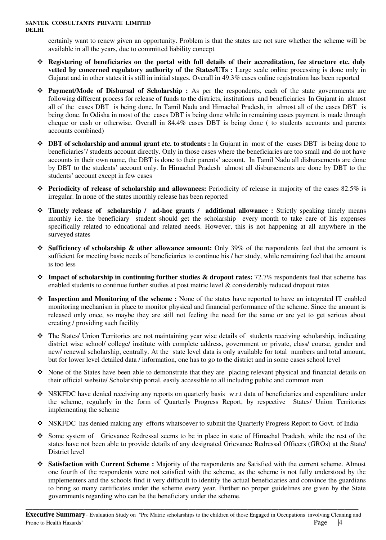certainly want to renew given an opportunity. Problem is that the states are not sure whether the scheme will be available in all the years, due to committed liability concept

- **Registering of beneficiaries on the portal with full details of their accreditation, fee structure etc. duly vetted by concerned regulatory authority of the States/UTs :** Large scale online processing is done only in Gujarat and in other states it is still in initial stages. Overall in 49.3% cases online registration has been reported
- **Payment/Mode of Disbursal of Scholarship :** As per the respondents, each of the state governments are following different process for release of funds to the districts, institutions and beneficiaries In Gujarat in almost all of the cases DBT is being done. In Tamil Nadu and Himachal Pradesh, in almost all of the cases DBT is being done. In Odisha in most of the cases DBT is being done while in remaining cases payment is made through cheque or cash or otherwise. Overall in 84.4% cases DBT is being done ( to students accounts and parents accounts combined)
- **DBT of scholarship and annual grant etc. to students :** In Gujarat in most of the cases DBT is being done to beneficiaries'/ students account directly. Only in those cases where the beneficiaries are too small and do not have accounts in their own name, the DBT is done to their parents' account. In Tamil Nadu all disbursements are done by DBT to the students' account only. In Himachal Pradesh almost all disbursements are done by DBT to the students' account except in few cases
- **Periodicity of release of scholarship and allowances:** Periodicity of release in majority of the cases 82.5% is irregular. In none of the states monthly release has been reported
- **Timely release of scholarship / ad-hoc grants / additional allowance :** Strictly speaking timely means monthly i.e. the beneficiary student should get the scholarship every month to take care of his expenses specifically related to educational and related needs. However, this is not happening at all anywhere in the surveyed states
- **Sufficiency of scholarship & other allowance amount:** Only 39% of the respondents feel that the amount is sufficient for meeting basic needs of beneficiaries to continue his / her study, while remaining feel that the amount is too less
- **Impact of scholarship in continuing further studies & dropout rates:** 72.7% respondents feel that scheme has enabled students to continue further studies at post matric level & considerably reduced dropout rates
- **Inspection and Monitoring of the scheme :** None of the states have reported to have an integrated IT enabled monitoring mechanism in place to monitor physical and financial performance of the scheme. Since the amount is released only once, so maybe they are still not feeling the need for the same or are yet to get serious about creating / providing such facility
- The States/ Union Territories are not maintaining year wise details of students receiving scholarship, indicating district wise school/ college/ institute with complete address, government or private, class/ course, gender and new/ renewal scholarship, centrally. At the state level data is only available for total numbers and total amount, but for lower level detailed data / information, one has to go to the district and in some cases school level
- $\bullet$  None of the States have been able to demonstrate that they are placing relevant physical and financial details on their official website/ Scholarship portal, easily accessible to all including public and common man
- ◆ NSKFDC have denied receiving any reports on quarterly basis w.r.t data of beneficiaries and expenditure under the scheme, regularly in the form of Quarterly Progress Report, by respective States/ Union Territories implementing the scheme
- NSKFDC has denied making any efforts whatsoever to submit the Quarterly Progress Report to Govt. of India
- Some system of Grievance Redressal seems to be in place in state of Himachal Pradesh, while the rest of the states have not been able to provide details of any designated Grievance Redressal Officers (GROs) at the State/ District level
- **Satisfaction with Current Scheme :** Majority of the respondents are Satisfied with the current scheme. Almost one fourth of the respondents were not satisfied with the scheme, as the scheme is not fully understood by the implementers and the schools find it very difficult to identify the actual beneficiaries and convince the guardians to bring so many certificates under the scheme every year. Further no proper guidelines are given by the State governments regarding who can be the beneficiary under the scheme.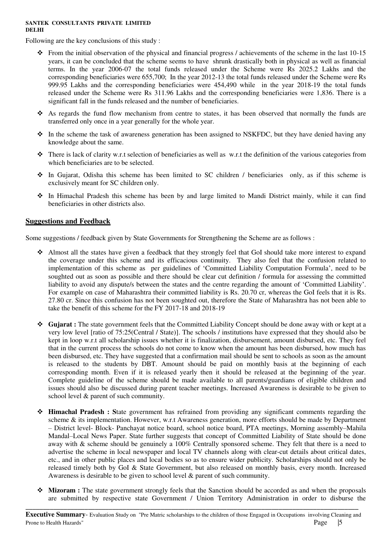Following are the key conclusions of this study :

- $\cdot \cdot$  From the initial observation of the physical and financial progress / achievements of the scheme in the last 10-15 years, it can be concluded that the scheme seems to have shrunk drastically both in physical as well as financial terms. In the year 2006-07 the total funds released under the Scheme were Rs 2025.2 Lakhs and the corresponding beneficiaries were 655,700; In the year 2012-13 the total funds released under the Scheme were Rs 999.95 Lakhs and the corresponding beneficiaries were 454,490 while in the year 2018-19 the total funds released under the Scheme were Rs 311.96 Lakhs and the corresponding beneficiaries were 1,836. There is a significant fall in the funds released and the number of beneficiaries.
- $\hat{\bullet}$  As regards the fund flow mechanism from centre to states, it has been observed that normally the funds are transferred only once in a year generally for the whole year.
- $\bullet$  In the scheme the task of awareness generation has been assigned to NSKFDC, but they have denied having any knowledge about the same.
- $\hat{\mathbf{v}}$  There is lack of clarity w.r.t selection of beneficiaries as well as w.r.t the definition of the various categories from which beneficiaries are to be selected.
- In Gujarat, Odisha this scheme has been limited to SC children / beneficiaries only, as if this scheme is exclusively meant for SC children only.
- In Himachal Pradesh this scheme has been by and large limited to Mandi District mainly, while it can find beneficiaries in other districts also.

#### **Suggestions and Feedback**

Some suggestions / feedback given by State Governments for Strengthening the Scheme are as follows :

- Almost all the states have given a feedback that they strongly feel that GoI should take more interest to expand the coverage under this scheme and its efficacious continuity. They also feel that the confusion related to implementation of this scheme as per guidelines of 'Committed Liability Computation Formula', need to be soughted out as soon as possible and there should be clear cut definition / formula for assessing the committed liability to avoid any dispute/s between the states and the centre regarding the amount of 'Committed Liability'. For example on case of Maharashtra their committed liability is Rs. 20.70 cr, whereas the GoI feels that it is Rs. 27.80 cr. Since this confusion has not been soughted out, therefore the State of Maharashtra has not been able to take the benefit of this scheme for the FY 2017-18 and 2018-19
- **Gujarat :** The state government feels that the Committed Liability Concept should be done away with or kept at a very low level [ratio of 75:25(Central / State)]. The schools / institutions have expressed that they should also be kept in loop w.r.t all scholarship issues whether it is finalization, disbursement, amount disbursed, etc. They feel that in the current process the schools do not come to know when the amount has been disbursed, how much has been disbursed, etc. They have suggested that a confirmation mail should be sent to schools as soon as the amount is released to the students by DBT. Amount should be paid on monthly basis at the beginning of each corresponding month. Even if it is released yearly then it should be released at the beginning of the year. Complete guideline of the scheme should be made available to all parents/guardians of eligible children and issues should also be discussed during parent teacher meetings. Increased Awareness is desirable to be given to school level & parent of such community.
- **Himachal Pradesh : S**tate government has refrained from providing any significant comments regarding the scheme & its implementation. However, w.r.t Awareness generation, more efforts should be made by Department – District level- Block- Panchayat notice board, school notice board, PTA meetings, Morning assembly–Mahila Mandal–Local News Paper. State further suggests that concept of Committed Liability of State should be done away with & scheme should be genuinely a 100% Centrally sponsored scheme. They felt that there is a need to advertise the scheme in local newspaper and local TV channels along with clear-cut details about critical dates, etc., and in other public places and local bodies so as to ensure wider publicity. Scholarships should not only be released timely both by GoI & State Government, but also released on monthly basis, every month. Increased Awareness is desirable to be given to school level & parent of such community.
- **Mizoram :** The state government strongly feels that the Sanction should be accorded as and when the proposals are submitted by respective state Government / Union Territory Administration in order to disburse the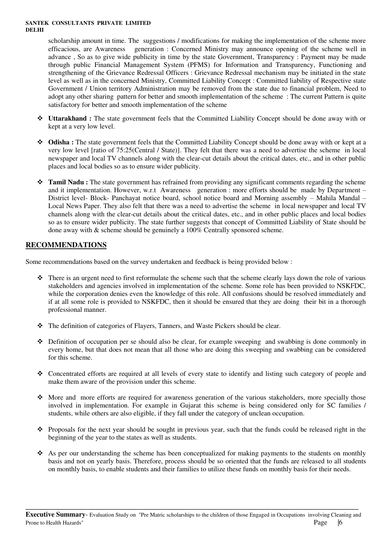scholarship amount in time. The suggestions / modifications for making the implementation of the scheme more efficacious, are Awareness generation : Concerned Ministry may announce opening of the scheme well in advance , So as to give wide publicity in time by the state Government, Transparency : Payment may be made through public Financial Management System (PFMS) for Information and Transparency, Functioning and strengthening of the Grievance Redressal Officers : Grievance Redressal mechanism may be initiated in the state level as well as in the concerned Ministry, Committed Liability Concept : Committed liability of Respective state Government / Union territory Administration may be removed from the state due to financial problem, Need to adopt any other sharing pattern for better and smooth implementation of the scheme : The current Pattern is quite satisfactory for better and smooth implementation of the scheme

- **Uttarakhand :** The state government feels that the Committed Liability Concept should be done away with or kept at a very low level.
- ◆ **Odisha :** The state government feels that the Committed Liability Concept should be done away with or kept at a very low level [ratio of 75:25(Central / State)]. They felt that there was a need to advertise the scheme in local newspaper and local TV channels along with the clear-cut details about the critical dates, etc., and in other public places and local bodies so as to ensure wider publicity.
- **Tamil Nadu :** The state government has refrained from providing any significant comments regarding the scheme and it implementation. However, w.r.t Awareness generation : more efforts should be made by Department – District level- Block- Panchayat notice board, school notice board and Morning assembly – Mahila Mandal – Local News Paper. They also felt that there was a need to advertise the scheme in local newspaper and local TV channels along with the clear-cut details about the critical dates, etc., and in other public places and local bodies so as to ensure wider publicity. The state further suggests that concept of Committed Liability of State should be done away with & scheme should be genuinely a 100% Centrally sponsored scheme.

#### **RECOMMENDATIONS**

Some recommendations based on the survey undertaken and feedback is being provided below :

- There is an urgent need to first reformulate the scheme such that the scheme clearly lays down the role of various stakeholders and agencies involved in implementation of the scheme. Some role has been provided to NSKFDC, while the corporation denies even the knowledge of this role. All confusions should be resolved immediately and if at all some role is provided to NSKFDC, then it should be ensured that they are doing their bit in a thorough professional manner.
- The definition of categories of Flayers, Tanners, and Waste Pickers should be clear.
- $\bullet$  Definition of occupation per se should also be clear, for example sweeping and swabbing is done commonly in every home, but that does not mean that all those who are doing this sweeping and swabbing can be considered for this scheme.
- Concentrated efforts are required at all levels of every state to identify and listing such category of people and make them aware of the provision under this scheme.
- $\bullet$  More and more efforts are required for awareness generation of the various stakeholders, more specially those involved in implementation. For example in Gujarat this scheme is being considered only for SC families / students, while others are also eligible, if they fall under the category of unclean occupation.
- \* Proposals for the next year should be sought in previous year, such that the funds could be released right in the beginning of the year to the states as well as students.
- $\bullet$  As per our understanding the scheme has been conceptualized for making payments to the students on monthly basis and not on yearly basis. Therefore, process should be so oriented that the funds are released to all students on monthly basis, to enable students and their families to utilize these funds on monthly basis for their needs.